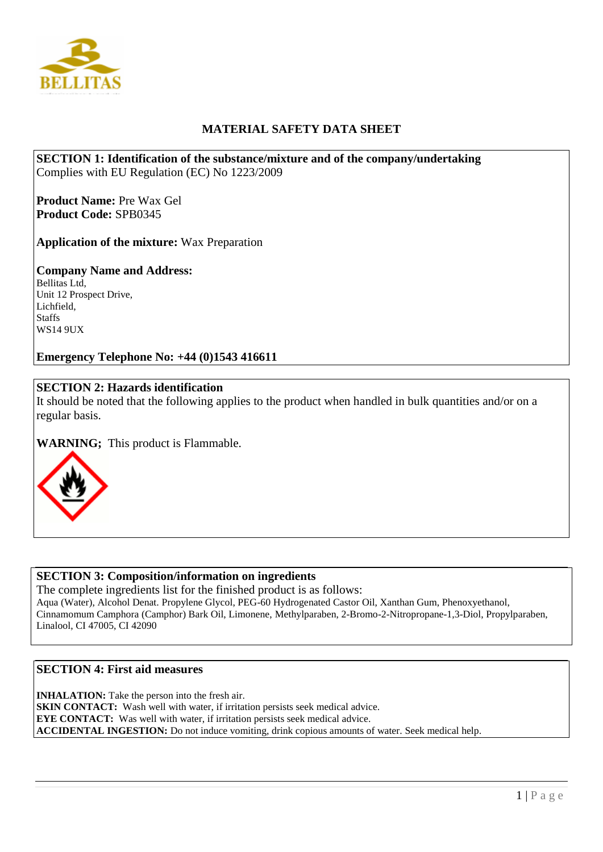

# **MATERIAL SAFETY DATA SHEET**

**SECTION 1: Identification of the substance/mixture and of the company/undertaking**  Complies with EU Regulation (EC) No 1223/2009

**Product Name:** Pre Wax Gel **Product Code:** SPB0345

**Application of the mixture:** Wax Preparation

# **Company Name and Address:**

Bellitas Ltd, Unit 12 Prospect Drive, Lichfield, **Staffs** WS14 9UX

**Emergency Telephone No: +44 (0)1543 416611**

# **SECTION 2: Hazards identification**

It should be noted that the following applies to the product when handled in bulk quantities and/or on a regular basis.

**WARNING;** This product is Flammable.



## **SECTION 3: Composition/information on ingredients**

The complete ingredients list for the finished product is as follows: Aqua (Water), Alcohol Denat. Propylene Glycol, PEG-60 Hydrogenated Castor Oil, Xanthan Gum, Phenoxyethanol, Cinnamomum Camphora (Camphor) Bark Oil, Limonene, Methylparaben, 2-Bromo-2-Nitropropane-1,3-Diol, Propylparaben, Linalool, CI 47005, CI 42090

# **SECTION 4: First aid measures**

**INHALATION:** Take the person into the fresh air. **SKIN CONTACT:** Wash well with water, if irritation persists seek medical advice. **EYE CONTACT:** Was well with water, if irritation persists seek medical advice. **ACCIDENTAL INGESTION:** Do not induce vomiting, drink copious amounts of water. Seek medical help.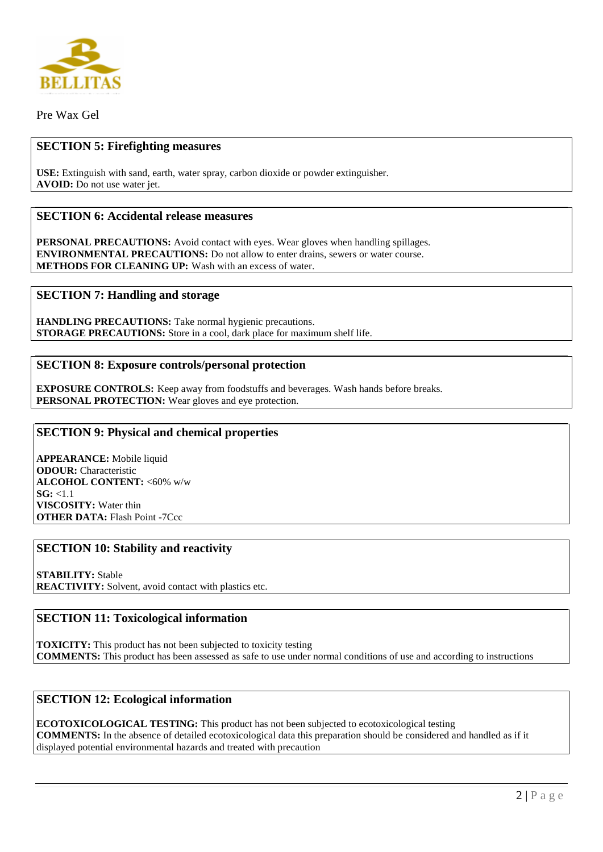

Pre Wax Gel

### **SECTION 5: Firefighting measures**

**USE:** Extinguish with sand, earth, water spray, carbon dioxide or powder extinguisher. **AVOID:** Do not use water jet.

### **SECTION 6: Accidental release measures**

**PERSONAL PRECAUTIONS:** Avoid contact with eyes. Wear gloves when handling spillages. **ENVIRONMENTAL PRECAUTIONS:** Do not allow to enter drains, sewers or water course. **METHODS FOR CLEANING UP:** Wash with an excess of water.

#### **SECTION 7: Handling and storage**

**HANDLING PRECAUTIONS:** Take normal hygienic precautions. **STORAGE PRECAUTIONS:** Store in a cool, dark place for maximum shelf life.

#### **SECTION 8: Exposure controls/personal protection**

**EXPOSURE CONTROLS:** Keep away from foodstuffs and beverages. Wash hands before breaks. PERSONAL PROTECTION: Wear gloves and eye protection.

#### **SECTION 9: Physical and chemical properties**

**APPEARANCE:** Mobile liquid **ODOUR:** Characteristic **ALCOHOL CONTENT:** <60% w/w **SG:** <1.1 **VISCOSITY:** Water thin **OTHER DATA:** Flash Point -7Ccc

### **SECTION 10: Stability and reactivity**

**STABILITY:** Stable **REACTIVITY:** Solvent, avoid contact with plastics etc.

## **SECTION 11: Toxicological information**

**TOXICITY:** This product has not been subjected to toxicity testing **COMMENTS:** This product has been assessed as safe to use under normal conditions of use and according to instructions

#### **SECTION 12: Ecological information**

**ECOTOXICOLOGICAL TESTING:** This product has not been subjected to ecotoxicological testing **COMMENTS:** In the absence of detailed ecotoxicological data this preparation should be considered and handled as if it displayed potential environmental hazards and treated with precaution